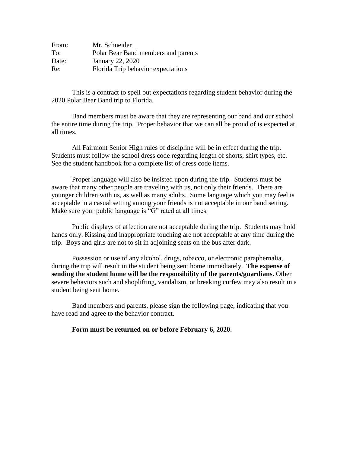| From: | Mr. Schneider                       |
|-------|-------------------------------------|
| To:   | Polar Bear Band members and parents |
| Date: | January 22, 2020                    |
| Re:   | Florida Trip behavior expectations  |

This is a contract to spell out expectations regarding student behavior during the 2020 Polar Bear Band trip to Florida.

Band members must be aware that they are representing our band and our school the entire time during the trip. Proper behavior that we can all be proud of is expected at all times.

All Fairmont Senior High rules of discipline will be in effect during the trip. Students must follow the school dress code regarding length of shorts, shirt types, etc. See the student handbook for a complete list of dress code items.

Proper language will also be insisted upon during the trip. Students must be aware that many other people are traveling with us, not only their friends. There are younger children with us, as well as many adults. Some language which you may feel is acceptable in a casual setting among your friends is not acceptable in our band setting. Make sure your public language is "G" rated at all times.

Public displays of affection are not acceptable during the trip. Students may hold hands only. Kissing and inappropriate touching are not acceptable at any time during the trip. Boys and girls are not to sit in adjoining seats on the bus after dark.

Possession or use of any alcohol, drugs, tobacco, or electronic paraphernalia, during the trip will result in the student being sent home immediately. **The expense of sending the student home will be the responsibility of the parents/guardians.** Other severe behaviors such and shoplifting, vandalism, or breaking curfew may also result in a student being sent home.

Band members and parents, please sign the following page, indicating that you have read and agree to the behavior contract.

**Form must be returned on or before February 6, 2020.**